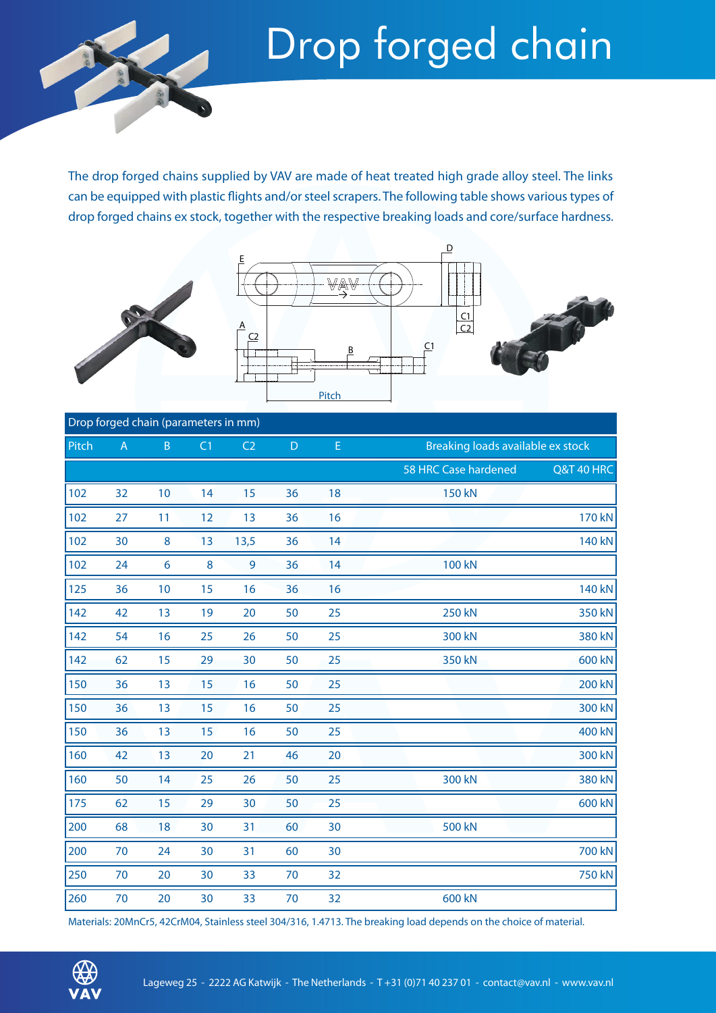

The drop forged chains supplied by VAV are made of heat treated high grade alloy steel. The links can be equipped with plastic flights and/or steel scrapers. The following table shows various types of drop forged chains ex stock, together with the respective breaking loads and core/surface hardness.





D

## Drop forged chain (parameters in mm) Pitch A B C1 C2 D E Breaking loads available ex stock

| .   | and the state of the state of |                |    |      |    |    |                      | <b>Prediting found available CAP</b> |  |
|-----|-------------------------------|----------------|----|------|----|----|----------------------|--------------------------------------|--|
|     |                               |                |    |      |    |    | 58 HRC Case hardened | <b>Q&amp;T 40 HRC</b>                |  |
| 102 | 32                            | 10             | 14 | 15   | 36 | 18 | <b>150 kN</b>        |                                      |  |
| 102 | 27                            | 11             | 12 | 13   | 36 | 16 |                      | 170 kN                               |  |
| 102 | 30                            | 8              | 13 | 13,5 | 36 | 14 |                      | 140 kN                               |  |
| 102 | 24                            | $6\phantom{a}$ | 8  | 9    | 36 | 14 | <b>100 kN</b>        |                                      |  |
| 125 | 36                            | 10             | 15 | 16   | 36 | 16 |                      | <b>140 kN</b>                        |  |
| 142 | 42                            | 13             | 19 | 20   | 50 | 25 | <b>250 kN</b>        | 350 kN                               |  |
| 142 | 54                            | 16             | 25 | 26   | 50 | 25 | 300 kN               | 380 kN                               |  |
| 142 | 62                            | 15             | 29 | 30   | 50 | 25 | 350 kN               | 600 kN                               |  |
| 150 | 36                            | 13             | 15 | 16   | 50 | 25 |                      | <b>200 kN</b>                        |  |
| 150 | 36                            | 13             | 15 | 16   | 50 | 25 |                      | 300 kN                               |  |
| 150 | 36                            | 13             | 15 | 16   | 50 | 25 |                      | 400 kN                               |  |
| 160 | 42                            | 13             | 20 | 21   | 46 | 20 |                      | 300 kN                               |  |
| 160 | 50                            | 14             | 25 | 26   | 50 | 25 | 300 kN               | 380 kN                               |  |
| 175 | 62                            | 15             | 29 | 30   | 50 | 25 |                      | 600 kN                               |  |
| 200 | 68                            | 18             | 30 | 31   | 60 | 30 | 500 kN               |                                      |  |
| 200 | 70                            | 24             | 30 | 31   | 60 | 30 |                      | 700 kN                               |  |
| 250 | 70                            | 20             | 30 | 33   | 70 | 32 |                      | 750 kN                               |  |
| 260 | 70                            | 20             | 30 | 33   | 70 | 32 | 600 kN               |                                      |  |

Materials: 20MnCr5, 42CrM04, Stainless steel 304/316, 1.4713. The breaking load depends on the choice of material.